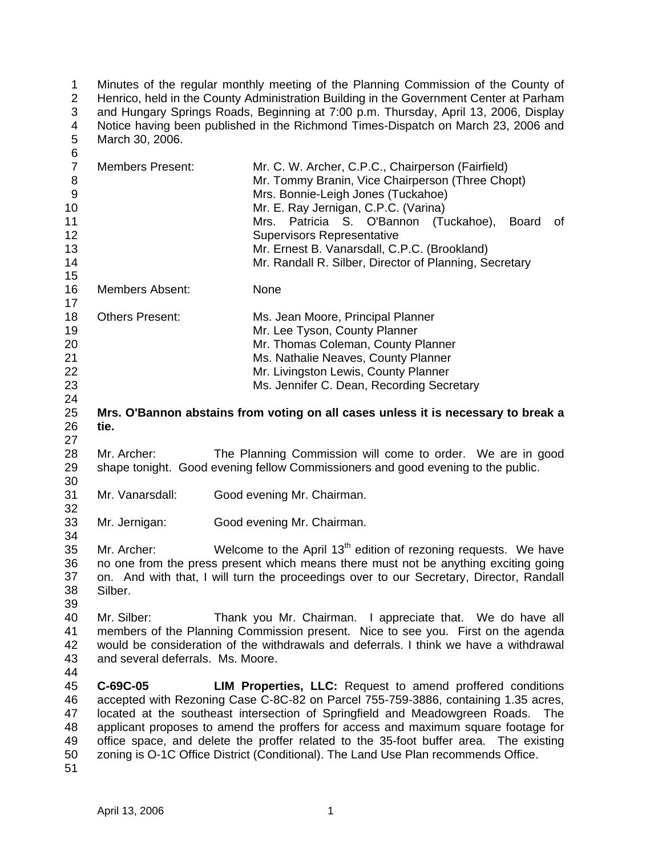1 2 3 4 5 Minutes of the regular monthly meeting of the Planning Commission of the County of Henrico, held in the County Administration Building in the Government Center at Parham and Hungary Springs Roads, Beginning at 7:00 p.m. Thursday, April 13, 2006, Display Notice having been published in the Richmond Times-Dispatch on March 23, 2006 and March 30, 2006.

| 6                |                                                                                                                                                                           |                                                                                         |
|------------------|---------------------------------------------------------------------------------------------------------------------------------------------------------------------------|-----------------------------------------------------------------------------------------|
| $\overline{7}$   | <b>Members Present:</b>                                                                                                                                                   | Mr. C. W. Archer, C.P.C., Chairperson (Fairfield)                                       |
| 8                |                                                                                                                                                                           | Mr. Tommy Branin, Vice Chairperson (Three Chopt)                                        |
| $\boldsymbol{9}$ |                                                                                                                                                                           | Mrs. Bonnie-Leigh Jones (Tuckahoe)                                                      |
| 10               |                                                                                                                                                                           | Mr. E. Ray Jernigan, C.P.C. (Varina)                                                    |
| 11               |                                                                                                                                                                           | Mrs. Patricia S. O'Bannon (Tuckahoe),<br><b>Board</b><br>0f                             |
| 12               |                                                                                                                                                                           | <b>Supervisors Representative</b>                                                       |
| 13               |                                                                                                                                                                           | Mr. Ernest B. Vanarsdall, C.P.C. (Brookland)                                            |
| 14               |                                                                                                                                                                           | Mr. Randall R. Silber, Director of Planning, Secretary                                  |
| 15               |                                                                                                                                                                           |                                                                                         |
| 16               | <b>Members Absent:</b>                                                                                                                                                    | None                                                                                    |
| 17               |                                                                                                                                                                           |                                                                                         |
| 18               | <b>Others Present:</b>                                                                                                                                                    |                                                                                         |
|                  |                                                                                                                                                                           | Ms. Jean Moore, Principal Planner                                                       |
| 19               |                                                                                                                                                                           | Mr. Lee Tyson, County Planner                                                           |
| 20               |                                                                                                                                                                           | Mr. Thomas Coleman, County Planner                                                      |
| 21               |                                                                                                                                                                           | Ms. Nathalie Neaves, County Planner                                                     |
| 22               |                                                                                                                                                                           | Mr. Livingston Lewis, County Planner                                                    |
| 23               |                                                                                                                                                                           | Ms. Jennifer C. Dean, Recording Secretary                                               |
| 24               |                                                                                                                                                                           |                                                                                         |
| 25               |                                                                                                                                                                           | Mrs. O'Bannon abstains from voting on all cases unless it is necessary to break a       |
| 26               | tie.                                                                                                                                                                      |                                                                                         |
| 27               |                                                                                                                                                                           |                                                                                         |
| 28               | Mr. Archer:                                                                                                                                                               | The Planning Commission will come to order. We are in good                              |
| 29               |                                                                                                                                                                           | shape tonight. Good evening fellow Commissioners and good evening to the public.        |
| 30               |                                                                                                                                                                           |                                                                                         |
| 31               | Mr. Vanarsdall:                                                                                                                                                           | Good evening Mr. Chairman.                                                              |
| 32               |                                                                                                                                                                           |                                                                                         |
| 33               | Mr. Jernigan:                                                                                                                                                             | Good evening Mr. Chairman.                                                              |
| 34               |                                                                                                                                                                           |                                                                                         |
| 35               | Mr. Archer:                                                                                                                                                               | Welcome to the April 13 <sup>th</sup> edition of rezoning requests. We have             |
| 36               |                                                                                                                                                                           | no one from the press present which means there must not be anything exciting going     |
| 37               |                                                                                                                                                                           | on. And with that, I will turn the proceedings over to our Secretary, Director, Randall |
| 38               | Silber.                                                                                                                                                                   |                                                                                         |
| 39               |                                                                                                                                                                           |                                                                                         |
| 40               | Mr. Silber:                                                                                                                                                               |                                                                                         |
|                  |                                                                                                                                                                           | Thank you Mr. Chairman. I appreciate that. We do have all                               |
| 41               | members of the Planning Commission present. Nice to see you. First on the agenda<br>would be consideration of the withdrawals and deferrals. I think we have a withdrawal |                                                                                         |
| 42               |                                                                                                                                                                           |                                                                                         |
| 43               | and several deferrals. Ms. Moore.                                                                                                                                         |                                                                                         |
| 44               |                                                                                                                                                                           |                                                                                         |
| 45               | C-69C-05                                                                                                                                                                  | LIM Properties, LLC: Request to amend proffered conditions                              |
| 46               |                                                                                                                                                                           | accepted with Rezoning Case C-8C-82 on Parcel 755-759-3886, containing 1.35 acres,      |
| 47               | located at the southeast intersection of Springfield and Meadowgreen Roads.<br>The                                                                                        |                                                                                         |
| 48               | applicant proposes to amend the proffers for access and maximum square footage for                                                                                        |                                                                                         |
| 49               |                                                                                                                                                                           | office space, and delete the proffer related to the 35-foot buffer area. The existing   |
| 50               |                                                                                                                                                                           | zoning is O-1C Office District (Conditional). The Land Use Plan recommends Office.      |
| 51               |                                                                                                                                                                           |                                                                                         |
|                  |                                                                                                                                                                           |                                                                                         |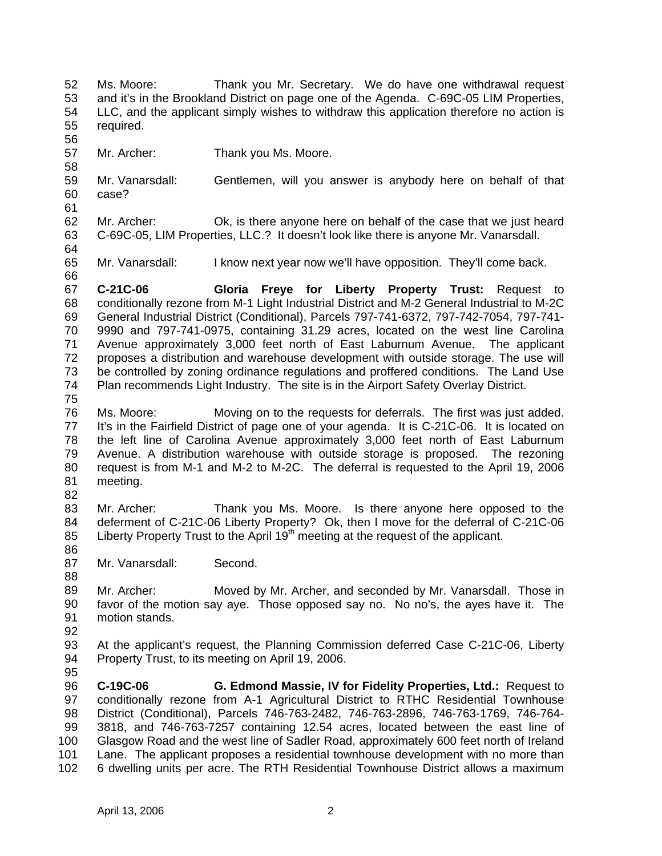52 53 54 55 56 57 58 59 60 61 62 63 64 65 66 67 68 69 70 71 72 73 74 75 76 77 78 79 80 81 82 83 84 85 86 87 88 89 90 91 92 93 94 95 96 97 98 99 100 101 102 Ms. Moore: Thank you Mr. Secretary. We do have one withdrawal request and it's in the Brookland District on page one of the Agenda. C-69C-05 LIM Properties, LLC, and the applicant simply wishes to withdraw this application therefore no action is required. Mr. Archer: Thank you Ms. Moore. Mr. Vanarsdall: Gentlemen, will you answer is anybody here on behalf of that case? Mr. Archer: Ok, is there anyone here on behalf of the case that we just heard C-69C-05, LIM Properties, LLC.? It doesn't look like there is anyone Mr. Vanarsdall. Mr. Vanarsdall: I know next year now we'll have opposition. They'll come back. **C-21C-06 Gloria Freye for Liberty Property Trust:** Request to conditionally rezone from M-1 Light Industrial District and M-2 General Industrial to M-2C General Industrial District (Conditional), Parcels 797-741-6372, 797-742-7054, 797-741- 9990 and 797-741-0975, containing 31.29 acres, located on the west line Carolina Avenue approximately 3,000 feet north of East Laburnum Avenue. The applicant proposes a distribution and warehouse development with outside storage. The use will be controlled by zoning ordinance regulations and proffered conditions. The Land Use Plan recommends Light Industry. The site is in the Airport Safety Overlay District. Ms. Moore: Moving on to the requests for deferrals. The first was just added. It's in the Fairfield District of page one of your agenda. It is C-21C-06. It is located on the left line of Carolina Avenue approximately 3,000 feet north of East Laburnum Avenue. A distribution warehouse with outside storage is proposed. The rezoning request is from M-1 and M-2 to M-2C. The deferral is requested to the April 19, 2006 meeting. Mr. Archer: Thank you Ms. Moore. Is there anyone here opposed to the deferment of C-21C-06 Liberty Property? Ok, then I move for the deferral of C-21C-06 Liberty Property Trust to the April  $19<sup>th</sup>$  meeting at the request of the applicant. Mr. Vanarsdall: Second. Mr. Archer: Moved by Mr. Archer, and seconded by Mr. Vanarsdall. Those in favor of the motion say aye. Those opposed say no. No no's, the ayes have it. The motion stands. At the applicant's request, the Planning Commission deferred Case C-21C-06, Liberty Property Trust, to its meeting on April 19, 2006. **C-19C-06 G. Edmond Massie, IV for Fidelity Properties, Ltd.:** Request to conditionally rezone from A-1 Agricultural District to RTHC Residential Townhouse District (Conditional), Parcels 746-763-2482, 746-763-2896, 746-763-1769, 746-764- 3818, and 746-763-7257 containing 12.54 acres, located between the east line of Glasgow Road and the west line of Sadler Road, approximately 600 feet north of Ireland Lane. The applicant proposes a residential townhouse development with no more than 6 dwelling units per acre. The RTH Residential Townhouse District allows a maximum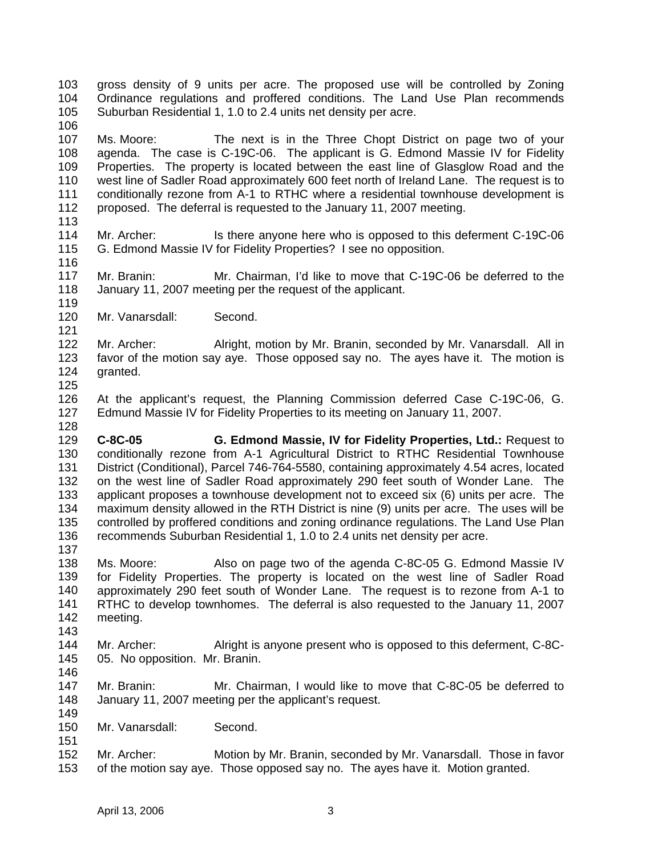103 104 105 gross density of 9 units per acre. The proposed use will be controlled by Zoning Ordinance regulations and proffered conditions. The Land Use Plan recommends Suburban Residential 1, 1.0 to 2.4 units net density per acre.

107 108 109 110 111 112 Ms. Moore: The next is in the Three Chopt District on page two of your agenda. The case is C-19C-06. The applicant is G. Edmond Massie IV for Fidelity Properties. The property is located between the east line of Glasglow Road and the west line of Sadler Road approximately 600 feet north of Ireland Lane. The request is to conditionally rezone from A-1 to RTHC where a residential townhouse development is proposed. The deferral is requested to the January 11, 2007 meeting.

113

119

121

106

114 115 116 Mr. Archer: Is there anyone here who is opposed to this deferment C-19C-06 G. Edmond Massie IV for Fidelity Properties? I see no opposition.

117 118 Mr. Branin: Mr. Chairman, I'd like to move that C-19C-06 be deferred to the January 11, 2007 meeting per the request of the applicant.

120 Mr. Vanarsdall: Second.

122 123 124 Mr. Archer: Alright, motion by Mr. Branin, seconded by Mr. Vanarsdall. All in favor of the motion say aye. Those opposed say no. The ayes have it. The motion is granted.

125

146

151

126 127 128 At the applicant's request, the Planning Commission deferred Case C-19C-06, G. Edmund Massie IV for Fidelity Properties to its meeting on January 11, 2007.

129 130 131 132 133 134 135 136 137 **C-8C-05 G. Edmond Massie, IV for Fidelity Properties, Ltd.:** Request to conditionally rezone from A-1 Agricultural District to RTHC Residential Townhouse District (Conditional), Parcel 746-764-5580, containing approximately 4.54 acres, located on the west line of Sadler Road approximately 290 feet south of Wonder Lane. The applicant proposes a townhouse development not to exceed six (6) units per acre. The maximum density allowed in the RTH District is nine (9) units per acre. The uses will be controlled by proffered conditions and zoning ordinance regulations. The Land Use Plan recommends Suburban Residential 1, 1.0 to 2.4 units net density per acre.

- 138 139 140 141 142 143 Ms. Moore: Also on page two of the agenda C-8C-05 G. Edmond Massie IV for Fidelity Properties. The property is located on the west line of Sadler Road approximately 290 feet south of Wonder Lane. The request is to rezone from A-1 to RTHC to develop townhomes. The deferral is also requested to the January 11, 2007 meeting.
- 144 145 Mr. Archer: Alright is anyone present who is opposed to this deferment, C-8C-05. No opposition. Mr. Branin.
- 147 148 149 Mr. Branin: Mr. Chairman, I would like to move that C-8C-05 be deferred to January 11, 2007 meeting per the applicant's request.
- 150 Mr. Vanarsdall: Second.
- 152 153 Mr. Archer: Motion by Mr. Branin, seconded by Mr. Vanarsdall. Those in favor of the motion say aye. Those opposed say no. The ayes have it. Motion granted.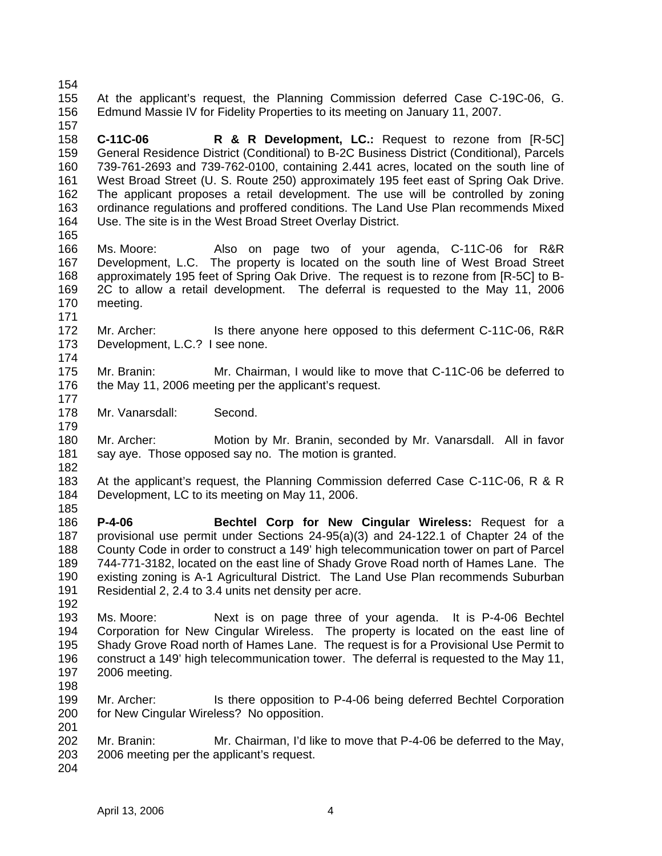154

155 156 157 At the applicant's request, the Planning Commission deferred Case C-19C-06, G. Edmund Massie IV for Fidelity Properties to its meeting on January 11, 2007.

158 159 160 161 162 163 164 **C-11C-06 R & R Development, LC.:** Request to rezone from [R-5C] General Residence District (Conditional) to B-2C Business District (Conditional), Parcels 739-761-2693 and 739-762-0100, containing 2.441 acres, located on the south line of West Broad Street (U. S. Route 250) approximately 195 feet east of Spring Oak Drive. The applicant proposes a retail development. The use will be controlled by zoning ordinance regulations and proffered conditions. The Land Use Plan recommends Mixed Use. The site is in the West Broad Street Overlay District.

- 165 166 167 168 169 170 Ms. Moore: Also on page two of your agenda, C-11C-06 for R&R Development, L.C. The property is located on the south line of West Broad Street approximately 195 feet of Spring Oak Drive. The request is to rezone from [R-5C] to B-2C to allow a retail development. The deferral is requested to the May 11, 2006 meeting.
- 172 173 Mr. Archer: Is there anyone here opposed to this deferment C-11C-06, R&R Development, L.C.? I see none.
- 174

171

- 175 176 177 Mr. Branin: Mr. Chairman, I would like to move that C-11C-06 be deferred to the May 11, 2006 meeting per the applicant's request.
- 178 Mr. Vanarsdall: Second.

180 181 Mr. Archer: Motion by Mr. Branin, seconded by Mr. Vanarsdall. All in favor say aye. Those opposed say no. The motion is granted.

182

192

179

183 184 185 At the applicant's request, the Planning Commission deferred Case C-11C-06, R & R Development, LC to its meeting on May 11, 2006.

- 186 187 188 189 190 191 **P-4-06 Bechtel Corp for New Cingular Wireless:** Request for a provisional use permit under Sections 24-95(a)(3) and 24-122.1 of Chapter 24 of the County Code in order to construct a 149' high telecommunication tower on part of Parcel 744-771-3182, located on the east line of Shady Grove Road north of Hames Lane. The existing zoning is A-1 Agricultural District. The Land Use Plan recommends Suburban Residential 2, 2.4 to 3.4 units net density per acre.
- 193 194 195 196 197 198 Ms. Moore: Next is on page three of your agenda. It is P-4-06 Bechtel Corporation for New Cingular Wireless. The property is located on the east line of Shady Grove Road north of Hames Lane. The request is for a Provisional Use Permit to construct a 149' high telecommunication tower. The deferral is requested to the May 11, 2006 meeting.
- 199 200 201 Mr. Archer: Is there opposition to P-4-06 being deferred Bechtel Corporation for New Cingular Wireless? No opposition.
- 202 203 Mr. Branin: Mr. Chairman, I'd like to move that P-4-06 be deferred to the May, 2006 meeting per the applicant's request.
- 204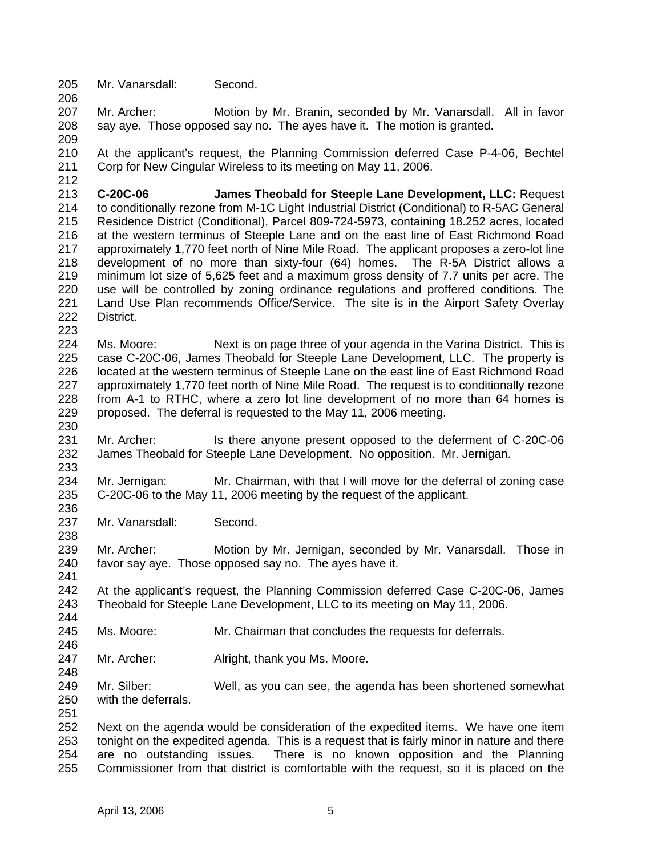205 206 Mr. Vanarsdall: Second.

207 208 Mr. Archer: Motion by Mr. Branin, seconded by Mr. Vanarsdall. All in favor say aye. Those opposed say no. The ayes have it. The motion is granted.

209

212

223

230

233

236

238

241

246

248

210 211 At the applicant's request, the Planning Commission deferred Case P-4-06, Bechtel Corp for New Cingular Wireless to its meeting on May 11, 2006.

213 214 215 216 217 218 219 220 221 222 **C-20C-06 James Theobald for Steeple Lane Development, LLC:** Request to conditionally rezone from M-1C Light Industrial District (Conditional) to R-5AC General Residence District (Conditional), Parcel 809-724-5973, containing 18.252 acres, located at the western terminus of Steeple Lane and on the east line of East Richmond Road approximately 1,770 feet north of Nine Mile Road. The applicant proposes a zero-lot line development of no more than sixty-four (64) homes. The R-5A District allows a minimum lot size of 5,625 feet and a maximum gross density of 7.7 units per acre. The use will be controlled by zoning ordinance regulations and proffered conditions. The Land Use Plan recommends Office/Service. The site is in the Airport Safety Overlay District.

224 225 226 227 228 229 Ms. Moore: Next is on page three of your agenda in the Varina District. This is case C-20C-06, James Theobald for Steeple Lane Development, LLC. The property is located at the western terminus of Steeple Lane on the east line of East Richmond Road approximately 1,770 feet north of Nine Mile Road. The request is to conditionally rezone from A-1 to RTHC, where a zero lot line development of no more than 64 homes is proposed. The deferral is requested to the May 11, 2006 meeting.

231 232 Mr. Archer: Is there anyone present opposed to the deferment of C-20C-06 James Theobald for Steeple Lane Development. No opposition. Mr. Jernigan.

234 235 Mr. Jernigan: Mr. Chairman, with that I will move for the deferral of zoning case C-20C-06 to the May 11, 2006 meeting by the request of the applicant.

237 Mr. Vanarsdall: Second.

239 240 Mr. Archer: Motion by Mr. Jernigan, seconded by Mr. Vanarsdall. Those in favor say aye. Those opposed say no. The ayes have it.

242 243 244 At the applicant's request, the Planning Commission deferred Case C-20C-06, James Theobald for Steeple Lane Development, LLC to its meeting on May 11, 2006.

- 245 Ms. Moore: Mr. Chairman that concludes the requests for deferrals.
- 247 Mr. Archer: Alright, thank you Ms. Moore.
- 249 250 251 Mr. Silber: Well, as you can see, the agenda has been shortened somewhat with the deferrals.

252 253 254 255 Next on the agenda would be consideration of the expedited items. We have one item tonight on the expedited agenda. This is a request that is fairly minor in nature and there are no outstanding issues. There is no known opposition and the Planning Commissioner from that district is comfortable with the request, so it is placed on the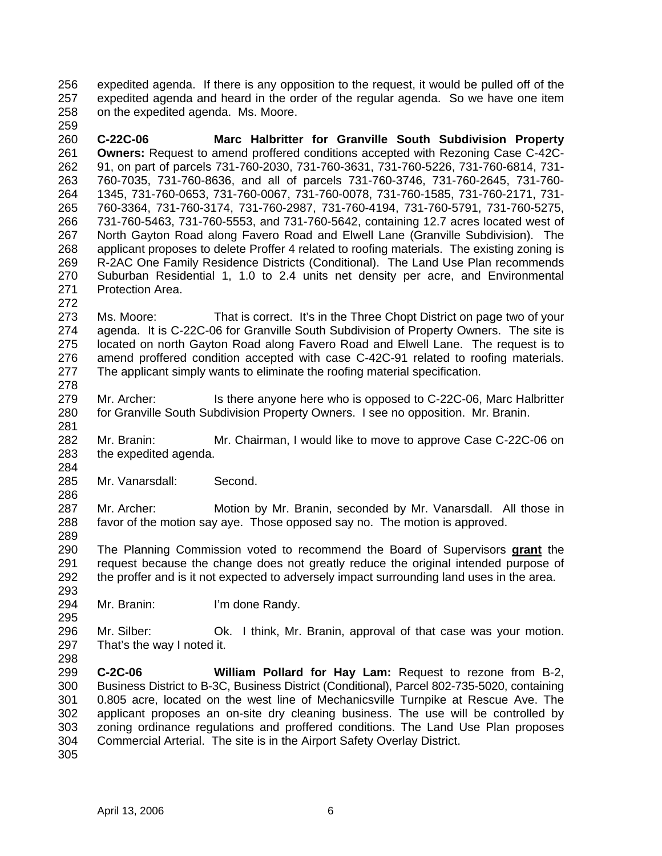256 257 258 expedited agenda. If there is any opposition to the request, it would be pulled off of the expedited agenda and heard in the order of the regular agenda. So we have one item on the expedited agenda. Ms. Moore.

260 261 262 263 264 265 266 267 268 269 270 271 **C-22C-06 Marc Halbritter for Granville South Subdivision Property Owners:** Request to amend proffered conditions accepted with Rezoning Case C-42C-91, on part of parcels 731-760-2030, 731-760-3631, 731-760-5226, 731-760-6814, 731- 760-7035, 731-760-8636, and all of parcels 731-760-3746, 731-760-2645, 731-760- 1345, 731-760-0653, 731-760-0067, 731-760-0078, 731-760-1585, 731-760-2171, 731- 760-3364, 731-760-3174, 731-760-2987, 731-760-4194, 731-760-5791, 731-760-5275, 731-760-5463, 731-760-5553, and 731-760-5642, containing 12.7 acres located west of North Gayton Road along Favero Road and Elwell Lane (Granville Subdivision). The applicant proposes to delete Proffer 4 related to roofing materials. The existing zoning is R-2AC One Family Residence Districts (Conditional). The Land Use Plan recommends Suburban Residential 1, 1.0 to 2.4 units net density per acre, and Environmental Protection Area.

- 272 273 274 275 276 277 278 Ms. Moore: That is correct. It's in the Three Chopt District on page two of your agenda. It is C-22C-06 for Granville South Subdivision of Property Owners. The site is located on north Gayton Road along Favero Road and Elwell Lane. The request is to amend proffered condition accepted with case C-42C-91 related to roofing materials. The applicant simply wants to eliminate the roofing material specification.
- 279 280 Mr. Archer: Is there anyone here who is opposed to C-22C-06, Marc Halbritter for Granville South Subdivision Property Owners. I see no opposition. Mr. Branin.
- 282 283 Mr. Branin: Mr. Chairman, I would like to move to approve Case C-22C-06 on the expedited agenda.
- 285 Mr. Vanarsdall: Second.
- 287 288 289 Mr. Archer: Motion by Mr. Branin, seconded by Mr. Vanarsdall. All those in favor of the motion say aye. Those opposed say no. The motion is approved.
- The Planning Commission voted to recommend the Board of Supervisors **grant** the request because the change does not greatly reduce the original intended purpose of the proffer and is it not expected to adversely impact surrounding land uses in the area. 290 291 292
- 294 Mr. Branin: I'm done Randy.
- 296 297 Mr. Silber: Ok. I think, Mr. Branin, approval of that case was your motion. That's the way I noted it.
- 299 300 301 302 303 304 **C-2C-06 William Pollard for Hay Lam:** Request to rezone from B-2, Business District to B-3C, Business District (Conditional), Parcel 802-735-5020, containing 0.805 acre, located on the west line of Mechanicsville Turnpike at Rescue Ave. The applicant proposes an on-site dry cleaning business. The use will be controlled by zoning ordinance regulations and proffered conditions. The Land Use Plan proposes Commercial Arterial. The site is in the Airport Safety Overlay District.
- 305

259

281

284

286

293

295

298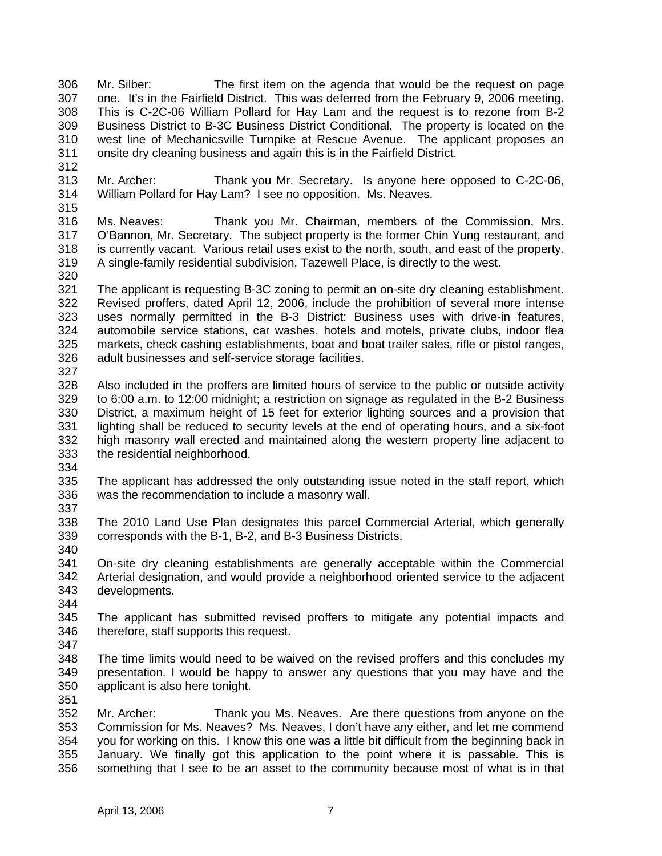306 307 308 309 310 311 Mr. Silber: The first item on the agenda that would be the request on page one. It's in the Fairfield District. This was deferred from the February 9, 2006 meeting. This is C-2C-06 William Pollard for Hay Lam and the request is to rezone from B-2 Business District to B-3C Business District Conditional. The property is located on the west line of Mechanicsville Turnpike at Rescue Avenue. The applicant proposes an onsite dry cleaning business and again this is in the Fairfield District.

- 312 313 314 315 Mr. Archer: Thank you Mr. Secretary. Is anyone here opposed to C-2C-06, William Pollard for Hay Lam? I see no opposition. Ms. Neaves.
- 316 317 318 319 Ms. Neaves: Thank you Mr. Chairman, members of the Commission, Mrs. O'Bannon, Mr. Secretary. The subject property is the former Chin Yung restaurant, and is currently vacant. Various retail uses exist to the north, south, and east of the property. A single-family residential subdivision, Tazewell Place, is directly to the west.
- 320
- 321 322 323 324 325 326 The applicant is requesting B-3C zoning to permit an on-site dry cleaning establishment. Revised proffers, dated April 12, 2006, include the prohibition of several more intense uses normally permitted in the B-3 District: Business uses with drive-in features, automobile service stations, car washes, hotels and motels, private clubs, indoor flea markets, check cashing establishments, boat and boat trailer sales, rifle or pistol ranges, adult businesses and self-service storage facilities.
- 327
- 328 329 330 331 332 333 Also included in the proffers are limited hours of service to the public or outside activity to 6:00 a.m. to 12:00 midnight; a restriction on signage as regulated in the B-2 Business District, a maximum height of 15 feet for exterior lighting sources and a provision that lighting shall be reduced to security levels at the end of operating hours, and a six-foot high masonry wall erected and maintained along the western property line adjacent to the residential neighborhood.
- 334
- 335 336 337 The applicant has addressed the only outstanding issue noted in the staff report, which was the recommendation to include a masonry wall.
- 338 339 The 2010 Land Use Plan designates this parcel Commercial Arterial, which generally corresponds with the B-1, B-2, and B-3 Business Districts.
- 340
- 341 342 343 344 On-site dry cleaning establishments are generally acceptable within the Commercial Arterial designation, and would provide a neighborhood oriented service to the adjacent developments.
- 345 346 The applicant has submitted revised proffers to mitigate any potential impacts and therefore, staff supports this request.
- 347
- 348 349 350 The time limits would need to be waived on the revised proffers and this concludes my presentation. I would be happy to answer any questions that you may have and the applicant is also here tonight.
- 351
- 352 353 354 355 356 Mr. Archer: Thank you Ms. Neaves. Are there questions from anyone on the Commission for Ms. Neaves? Ms. Neaves, I don't have any either, and let me commend you for working on this. I know this one was a little bit difficult from the beginning back in January. We finally got this application to the point where it is passable. This is something that I see to be an asset to the community because most of what is in that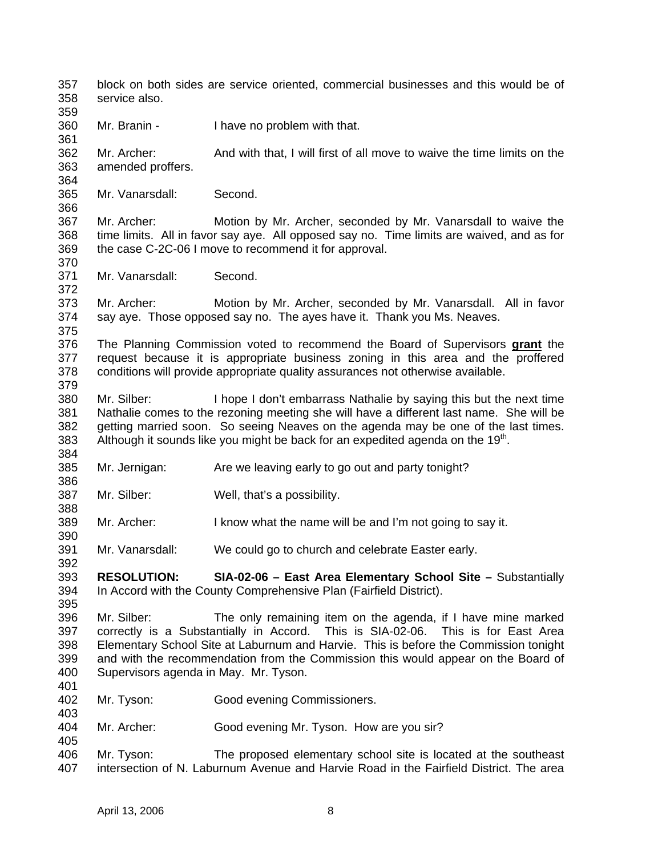357 358 359 360 361 362 363 364 365 366 367 368 369 370 371 372 373 374 375 block on both sides are service oriented, commercial businesses and this would be of service also. Mr. Branin - I have no problem with that. Mr. Archer: And with that, I will first of all move to waive the time limits on the amended proffers. Mr. Vanarsdall: Second. Mr. Archer: Motion by Mr. Archer, seconded by Mr. Vanarsdall to waive the time limits. All in favor say aye. All opposed say no. Time limits are waived, and as for the case C-2C-06 I move to recommend it for approval. Mr. Vanarsdall: Second. Mr. Archer: Motion by Mr. Archer, seconded by Mr. Vanarsdall. All in favor say aye. Those opposed say no. The ayes have it. Thank you Ms. Neaves. The Planning Commission voted to recommend the Board of Supervisors **grant** the request because it is appropriate business zoning in this area and the proffered conditions will provide appropriate quality assurances not otherwise available. 376 377 378 379 380 381 382 383 384 385 386 387 388 389 390 391 392 393 394 395 396 397 398 399 400 401 402 403 404 405 406 407 Mr. Silber: I hope I don't embarrass Nathalie by saying this but the next time Nathalie comes to the rezoning meeting she will have a different last name. She will be getting married soon. So seeing Neaves on the agenda may be one of the last times. Although it sounds like you might be back for an expedited agenda on the  $19<sup>th</sup>$ . Mr. Jernigan: Are we leaving early to go out and party tonight? Mr. Silber: Well, that's a possibility. Mr. Archer: I know what the name will be and I'm not going to say it. Mr. Vanarsdall: We could go to church and celebrate Easter early. **RESOLUTION: SIA-02-06 – East Area Elementary School Site –** Substantially In Accord with the County Comprehensive Plan (Fairfield District). Mr. Silber: The only remaining item on the agenda, if I have mine marked correctly is a Substantially in Accord. This is SIA-02-06. This is for East Area Elementary School Site at Laburnum and Harvie. This is before the Commission tonight and with the recommendation from the Commission this would appear on the Board of Supervisors agenda in May. Mr. Tyson. Mr. Tyson: Good evening Commissioners. Mr. Archer: Good evening Mr. Tyson. How are you sir? Mr. Tyson: The proposed elementary school site is located at the southeast intersection of N. Laburnum Avenue and Harvie Road in the Fairfield District. The area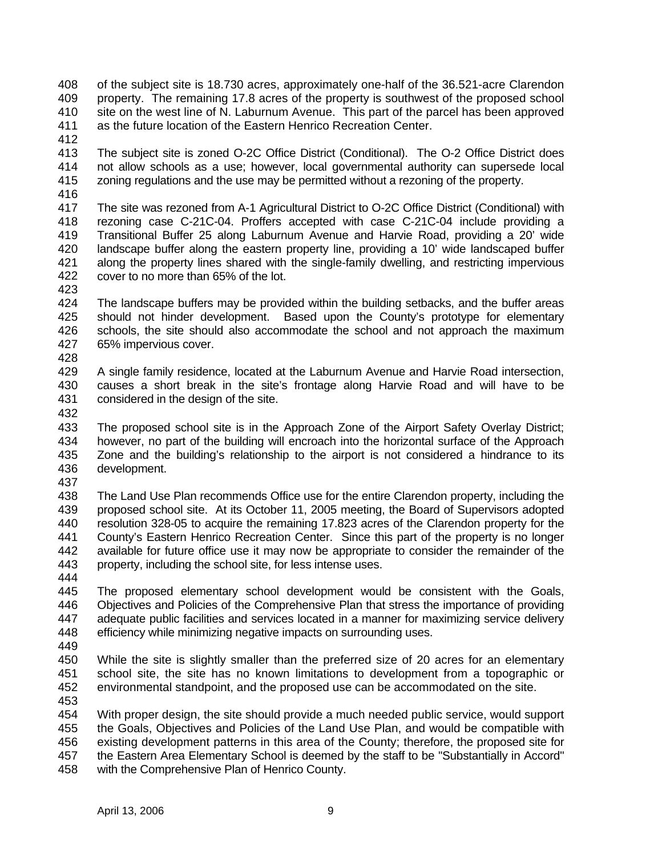- 408 409 410 411 of the subject site is 18.730 acres, approximately one-half of the 36.521-acre Clarendon property. The remaining 17.8 acres of the property is southwest of the proposed school site on the west line of N. Laburnum Avenue. This part of the parcel has been approved as the future location of the Eastern Henrico Recreation Center.
- 412
- 413 414 415 The subject site is zoned O-2C Office District (Conditional). The O-2 Office District does not allow schools as a use; however, local governmental authority can supersede local zoning regulations and the use may be permitted without a rezoning of the property.
- 416
- 417 418 419 420 421 422 The site was rezoned from A-1 Agricultural District to O-2C Office District (Conditional) with rezoning case C-21C-04. Proffers accepted with case C-21C-04 include providing a Transitional Buffer 25 along Laburnum Avenue and Harvie Road, providing a 20' wide landscape buffer along the eastern property line, providing a 10' wide landscaped buffer along the property lines shared with the single-family dwelling, and restricting impervious cover to no more than 65% of the lot.
- 423
- 424 425 426 427 The landscape buffers may be provided within the building setbacks, and the buffer areas should not hinder development. Based upon the County's prototype for elementary schools, the site should also accommodate the school and not approach the maximum 65% impervious cover.
- 428
- 429 430 431 A single family residence, located at the Laburnum Avenue and Harvie Road intersection, causes a short break in the site's frontage along Harvie Road and will have to be considered in the design of the site.
- 432
- 433 434 435 436 The proposed school site is in the Approach Zone of the Airport Safety Overlay District; however, no part of the building will encroach into the horizontal surface of the Approach Zone and the building's relationship to the airport is not considered a hindrance to its development.
- 437
- 438 439 440 441 442 443 The Land Use Plan recommends Office use for the entire Clarendon property, including the proposed school site. At its October 11, 2005 meeting, the Board of Supervisors adopted resolution 328-05 to acquire the remaining 17.823 acres of the Clarendon property for the County's Eastern Henrico Recreation Center. Since this part of the property is no longer available for future office use it may now be appropriate to consider the remainder of the property, including the school site, for less intense uses.
- 444
- 445 446 447 448 The proposed elementary school development would be consistent with the Goals, Objectives and Policies of the Comprehensive Plan that stress the importance of providing adequate public facilities and services located in a manner for maximizing service delivery efficiency while minimizing negative impacts on surrounding uses.
- 449
- 450 451 452 While the site is slightly smaller than the preferred size of 20 acres for an elementary school site, the site has no known limitations to development from a topographic or environmental standpoint, and the proposed use can be accommodated on the site.
- 453
- 454 455 456 457 458 With proper design, the site should provide a much needed public service, would support the Goals, Objectives and Policies of the Land Use Plan, and would be compatible with existing development patterns in this area of the County; therefore, the proposed site for the Eastern Area Elementary School is deemed by the staff to be "Substantially in Accord" with the Comprehensive Plan of Henrico County.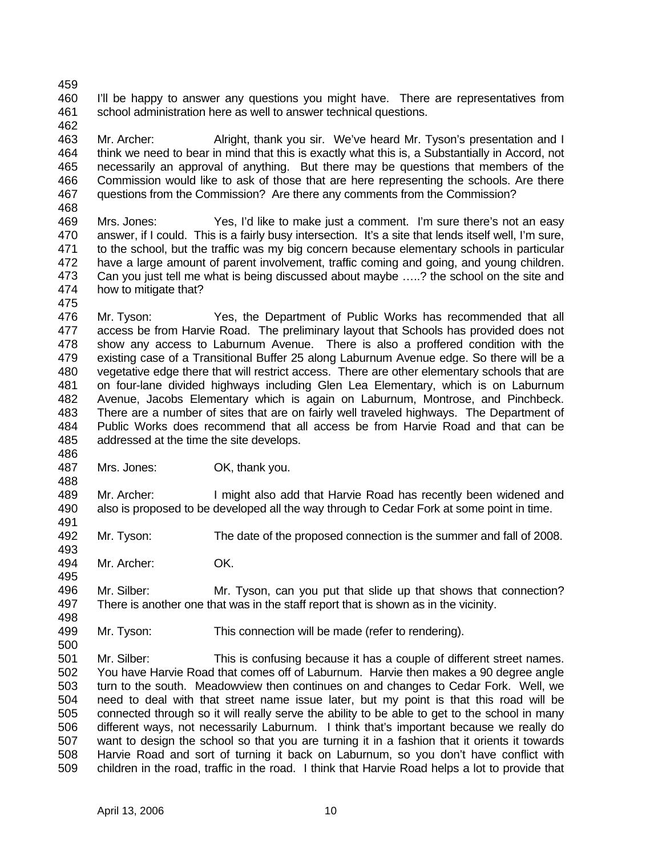459 460 461 462 I'll be happy to answer any questions you might have. There are representatives from school administration here as well to answer technical questions.

463 464 465 466 467 468 Mr. Archer: Alright, thank you sir. We've heard Mr. Tyson's presentation and I think we need to bear in mind that this is exactly what this is, a Substantially in Accord, not necessarily an approval of anything. But there may be questions that members of the Commission would like to ask of those that are here representing the schools. Are there questions from the Commission? Are there any comments from the Commission?

- 469 470 471 472 473 474 Mrs. Jones: Yes, I'd like to make just a comment. I'm sure there's not an easy answer, if I could. This is a fairly busy intersection. It's a site that lends itself well, I'm sure, to the school, but the traffic was my big concern because elementary schools in particular have a large amount of parent involvement, traffic coming and going, and young children. Can you just tell me what is being discussed about maybe …..? the school on the site and how to mitigate that?
- 475 476 477 478 479 480 481 482 483 484 485 Mr. Tyson: Yes, the Department of Public Works has recommended that all access be from Harvie Road. The preliminary layout that Schools has provided does not show any access to Laburnum Avenue. There is also a proffered condition with the existing case of a Transitional Buffer 25 along Laburnum Avenue edge. So there will be a vegetative edge there that will restrict access. There are other elementary schools that are on four-lane divided highways including Glen Lea Elementary, which is on Laburnum Avenue, Jacobs Elementary which is again on Laburnum, Montrose, and Pinchbeck. There are a number of sites that are on fairly well traveled highways. The Department of Public Works does recommend that all access be from Harvie Road and that can be addressed at the time the site develops.
- 487 Mrs. Jones: OK, thank you.
- 489 490 Mr. Archer: I might also add that Harvie Road has recently been widened and also is proposed to be developed all the way through to Cedar Fork at some point in time.
- 492 Mr. Tyson: The date of the proposed connection is the summer and fall of 2008.
- 494 Mr. Archer: OK.

486

488

491

493

495

498

500

- 496 497 Mr. Silber: Mr. Tyson, can you put that slide up that shows that connection? There is another one that was in the staff report that is shown as in the vicinity.
- 499 Mr. Tyson: This connection will be made (refer to rendering).
- 501 502 503 504 505 506 507 508 509 Mr. Silber: This is confusing because it has a couple of different street names. You have Harvie Road that comes off of Laburnum. Harvie then makes a 90 degree angle turn to the south. Meadowview then continues on and changes to Cedar Fork. Well, we need to deal with that street name issue later, but my point is that this road will be connected through so it will really serve the ability to be able to get to the school in many different ways, not necessarily Laburnum. I think that's important because we really do want to design the school so that you are turning it in a fashion that it orients it towards Harvie Road and sort of turning it back on Laburnum, so you don't have conflict with children in the road, traffic in the road. I think that Harvie Road helps a lot to provide that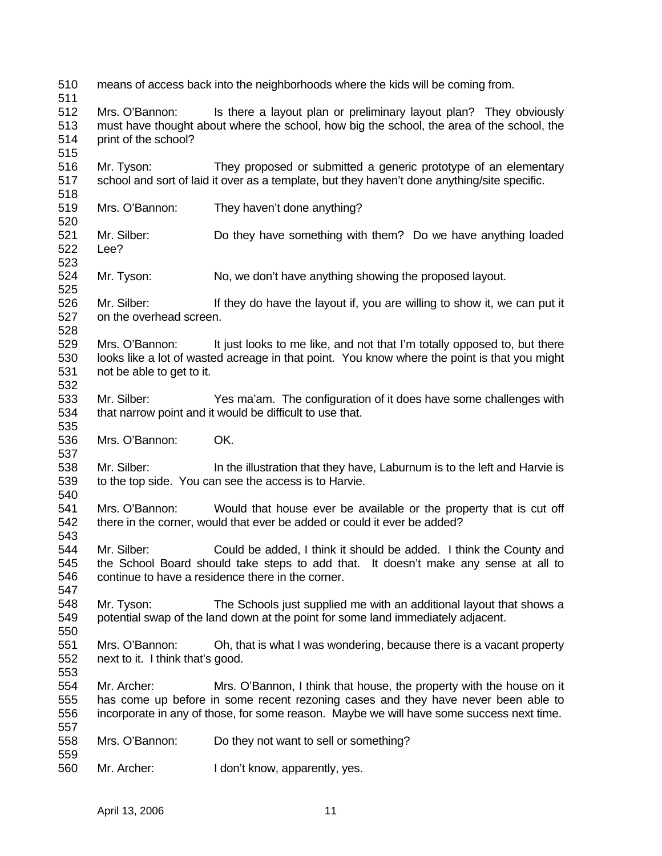510 511 512 513 514 515 516 517 518 519 520 521 522 523 524 525 526 527 528 529 530 531 532 533 534 535 536 537 538 539 540 541 542 543 544 545 546 547 548 549 550 551 552 553 554 555 556 557 558 559 560 means of access back into the neighborhoods where the kids will be coming from. Mrs. O'Bannon: Is there a layout plan or preliminary layout plan? They obviously must have thought about where the school, how big the school, the area of the school, the print of the school? Mr. Tyson: They proposed or submitted a generic prototype of an elementary school and sort of laid it over as a template, but they haven't done anything/site specific. Mrs. O'Bannon: They haven't done anything? Mr. Silber: Do they have something with them? Do we have anything loaded Lee? Mr. Tyson: No, we don't have anything showing the proposed layout. Mr. Silber: If they do have the layout if, you are willing to show it, we can put it on the overhead screen. Mrs. O'Bannon: It just looks to me like, and not that I'm totally opposed to, but there looks like a lot of wasted acreage in that point. You know where the point is that you might not be able to get to it. Mr. Silber: Yes ma'am. The configuration of it does have some challenges with that narrow point and it would be difficult to use that. Mrs. O'Bannon: OK. Mr. Silber: In the illustration that they have, Laburnum is to the left and Harvie is to the top side. You can see the access is to Harvie. Mrs. O'Bannon: Would that house ever be available or the property that is cut off there in the corner, would that ever be added or could it ever be added? Mr. Silber: Could be added, I think it should be added. I think the County and the School Board should take steps to add that. It doesn't make any sense at all to continue to have a residence there in the corner. Mr. Tyson: The Schools just supplied me with an additional layout that shows a potential swap of the land down at the point for some land immediately adjacent. Mrs. O'Bannon: Oh, that is what I was wondering, because there is a vacant property next to it. I think that's good. Mr. Archer: Mrs. O'Bannon, I think that house, the property with the house on it has come up before in some recent rezoning cases and they have never been able to incorporate in any of those, for some reason. Maybe we will have some success next time. Mrs. O'Bannon: Do they not want to sell or something? Mr. Archer: I don't know, apparently, yes.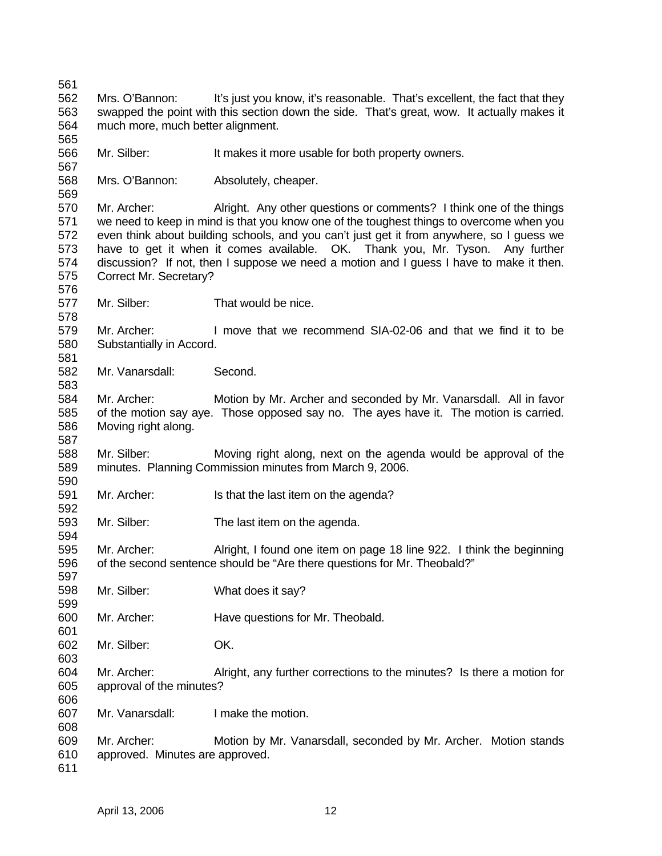Mrs. O'Bannon: It's just you know, it's reasonable. That's excellent, the fact that they swapped the point with this section down the side. That's great, wow. It actually makes it much more, much better alignment.

 Mr. Silber: It makes it more usable for both property owners.

 Mrs. O'Bannon: Absolutely, cheaper.

 Mr. Archer: Alright. Any other questions or comments? I think one of the things we need to keep in mind is that you know one of the toughest things to overcome when you even think about building schools, and you can't just get it from anywhere, so I guess we have to get it when it comes available. OK. Thank you, Mr. Tyson. Any further discussion? If not, then I suppose we need a motion and I guess I have to make it then. Correct Mr. Secretary?

 Mr. Silber: That would be nice.

 Mr. Archer: I move that we recommend SIA-02-06 and that we find it to be Substantially in Accord.

 Mr. Vanarsdall: Second.

 Mr. Archer: Motion by Mr. Archer and seconded by Mr. Vanarsdall. All in favor of the motion say aye. Those opposed say no. The ayes have it. The motion is carried. Moving right along.

 Mr. Silber: Moving right along, next on the agenda would be approval of the minutes. Planning Commission minutes from March 9, 2006.

- Mr. Archer: Is that the last item on the agenda?
- Mr. Silber: The last item on the agenda.

 Mr. Archer: Alright, I found one item on page 18 line 922. I think the beginning of the second sentence should be "Are there questions for Mr. Theobald?"

- Mr. Silber: What does it say?
- Mr. Archer: Have questions for Mr. Theobald.
- Mr. Silber: OK.
- Mr. Archer: Alright, any further corrections to the minutes? Is there a motion for approval of the minutes?
- Mr. Vanarsdall: I make the motion.
- Mr. Archer: Motion by Mr. Vanarsdall, seconded by Mr. Archer. Motion stands approved. Minutes are approved.
-